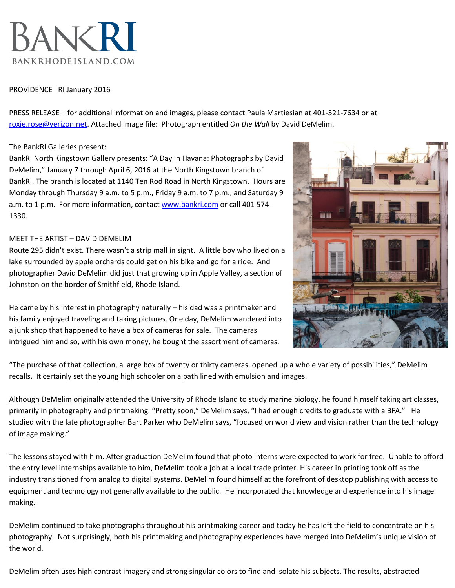

## PROVIDENCE RI January 2016

PRESS RELEASE – for additional information and images, please contact Paula Martiesian at 401-521-7634 or at [roxie.rose@verizon.net.](roxie.rose@verizon.net) Attached image file: Photograph entitled *On the Wall* by David DeMelim.

## The BankRI Galleries present:

BankRI North Kingstown Gallery presents: "A Day in Havana: Photographs by David DeMelim," January 7 through April 6, 2016 at the North Kingstown branch of BankRI. The branch is located at 1140 Ten Rod Road in North Kingstown. Hours are Monday through Thursday 9 a.m. to 5 p.m., Friday 9 a.m. to 7 p.m., and Saturday 9 a.m. to 1 p.m. For more information, contact [www.bankri.com](http://www.bankri.com/) or call 401 574-1330.

## MEET THE ARTIST – DAVID DEMELIM

Route 295 didn't exist. There wasn't a strip mall in sight. A little boy who lived on a lake surrounded by apple orchards could get on his bike and go for a ride. And photographer David DeMelim did just that growing up in Apple Valley, a section of Johnston on the border of Smithfield, Rhode Island.

He came by his interest in photography naturally – his dad was a printmaker and his family enjoyed traveling and taking pictures. One day, DeMelim wandered into a junk shop that happened to have a box of cameras for sale. The cameras intrigued him and so, with his own money, he bought the assortment of cameras.



"The purchase of that collection, a large box of twenty or thirty cameras, opened up a whole variety of possibilities," DeMelim recalls. It certainly set the young high schooler on a path lined with emulsion and images.

Although DeMelim originally attended the University of Rhode Island to study marine biology, he found himself taking art classes, primarily in photography and printmaking. "Pretty soon," DeMelim says, "I had enough credits to graduate with a BFA." He studied with the late photographer Bart Parker who DeMelim says, "focused on world view and vision rather than the technology of image making."

The lessons stayed with him. After graduation DeMelim found that photo interns were expected to work for free. Unable to afford the entry level internships available to him, DeMelim took a job at a local trade printer. His career in printing took off as the industry transitioned from analog to digital systems. DeMelim found himself at the forefront of desktop publishing with access to equipment and technology not generally available to the public. He incorporated that knowledge and experience into his image making.

DeMelim continued to take photographs throughout his printmaking career and today he has left the field to concentrate on his photography. Not surprisingly, both his printmaking and photography experiences have merged into DeMelim's unique vision of the world.

DeMelim often uses high contrast imagery and strong singular colors to find and isolate his subjects. The results, abstracted